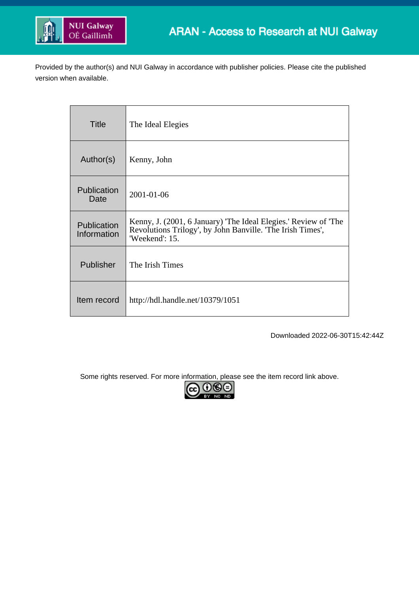

Provided by the author(s) and NUI Galway in accordance with publisher policies. Please cite the published version when available.

| <b>Title</b>               | The Ideal Elegies                                                                                                                               |
|----------------------------|-------------------------------------------------------------------------------------------------------------------------------------------------|
| Author(s)                  | Kenny, John                                                                                                                                     |
| Publication<br>Date        | 2001-01-06                                                                                                                                      |
| Publication<br>Information | Kenny, J. (2001, 6 January) 'The Ideal Elegies.' Review of 'The<br>Revolutions Trilogy', by John Banville. 'The Irish Times',<br>'Weekend': 15. |
| Publisher                  | The Irish Times                                                                                                                                 |
| Item record                | http://hdl.handle.net/10379/1051                                                                                                                |

Downloaded 2022-06-30T15:42:44Z

Some rights reserved. For more information, please see the item record link above.

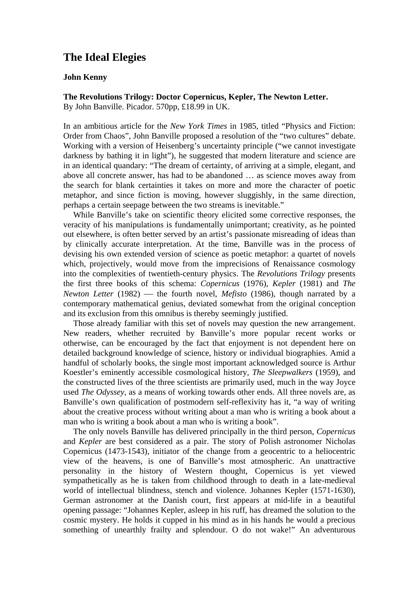## **The Ideal Elegies**

## **John Kenny**

**The Revolutions Trilogy: Doctor Copernicus, Kepler, The Newton Letter.**  By John Banville. Picador. 570pp, £18.99 in UK.

In an ambitious article for the *New York Times* in 1985, titled "Physics and Fiction: Order from Chaos", John Banville proposed a resolution of the "two cultures" debate. Working with a version of Heisenberg's uncertainty principle ("we cannot investigate darkness by bathing it in light"), he suggested that modern literature and science are in an identical quandary: "The dream of certainty, of arriving at a simple, elegant, and above all concrete answer, has had to be abandoned … as science moves away from the search for blank certainties it takes on more and more the character of poetic metaphor, and since fiction is moving, however sluggishly, in the same direction, perhaps a certain seepage between the two streams is inevitable."

While Banville's take on scientific theory elicited some corrective responses, the veracity of his manipulations is fundamentally unimportant; creativity, as he pointed out elsewhere, is often better served by an artist's passionate misreading of ideas than by clinically accurate interpretation. At the time, Banville was in the process of devising his own extended version of science as poetic metaphor: a quartet of novels which, projectively, would move from the imprecisions of Renaissance cosmology into the complexities of twentieth-century physics. The *Revolutions Trilogy* presents the first three books of this schema: *Copernicus* (1976), *Kepler* (1981) and *The Newton Letter* (1982) — the fourth novel, *Mefisto* (1986), though narrated by a contemporary mathematical genius, deviated somewhat from the original conception and its exclusion from this omnibus is thereby seemingly justified.

Those already familiar with this set of novels may question the new arrangement. New readers, whether recruited by Banville's more popular recent works or otherwise, can be encouraged by the fact that enjoyment is not dependent here on detailed background knowledge of science, history or individual biographies. Amid a handful of scholarly books, the single most important acknowledged source is Arthur Koestler's eminently accessible cosmological history, *The Sleepwalkers* (1959), and the constructed lives of the three scientists are primarily used, much in the way Joyce used *The Odyssey*, as a means of working towards other ends. All three novels are, as Banville's own qualification of postmodern self-reflexivity has it, "a way of writing about the creative process without writing about a man who is writing a book about a man who is writing a book about a man who is writing a book".

The only novels Banville has delivered principally in the third person, *Copernicus* and *Kepler* are best considered as a pair. The story of Polish astronomer Nicholas Copernicus (1473-1543), initiator of the change from a geocentric to a heliocentric view of the heavens, is one of Banville's most atmospheric. An unattractive personality in the history of Western thought, Copernicus is yet viewed sympathetically as he is taken from childhood through to death in a late-medieval world of intellectual blindness, stench and violence. Johannes Kepler (1571-1630), German astronomer at the Danish court, first appears at mid-life in a beautiful opening passage: "Johannes Kepler, asleep in his ruff, has dreamed the solution to the cosmic mystery. He holds it cupped in his mind as in his hands he would a precious something of unearthly frailty and splendour. O do not wake!" An adventurous